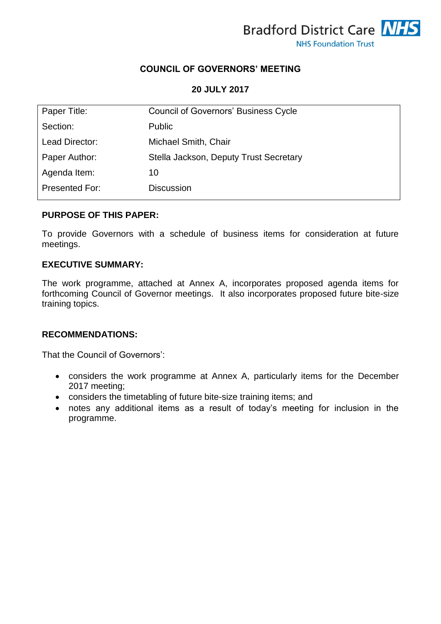

## **COUNCIL OF GOVERNORS' MEETING**

### **20 JULY 2017**

| Paper Title:   | <b>Council of Governors' Business Cycle</b> |
|----------------|---------------------------------------------|
| Section:       | <b>Public</b>                               |
| Lead Director: | Michael Smith, Chair                        |
| Paper Author:  | Stella Jackson, Deputy Trust Secretary      |
| Agenda Item:   | 10                                          |
| Presented For: | <b>Discussion</b>                           |

#### **PURPOSE OF THIS PAPER:**

To provide Governors with a schedule of business items for consideration at future meetings.

#### **EXECUTIVE SUMMARY:**

The work programme, attached at Annex A, incorporates proposed agenda items for forthcoming Council of Governor meetings. It also incorporates proposed future bite-size training topics.

### **RECOMMENDATIONS:**

That the Council of Governors':

- considers the work programme at Annex A, particularly items for the December 2017 meeting;
- considers the timetabling of future bite-size training items; and
- notes any additional items as a result of today's meeting for inclusion in the programme.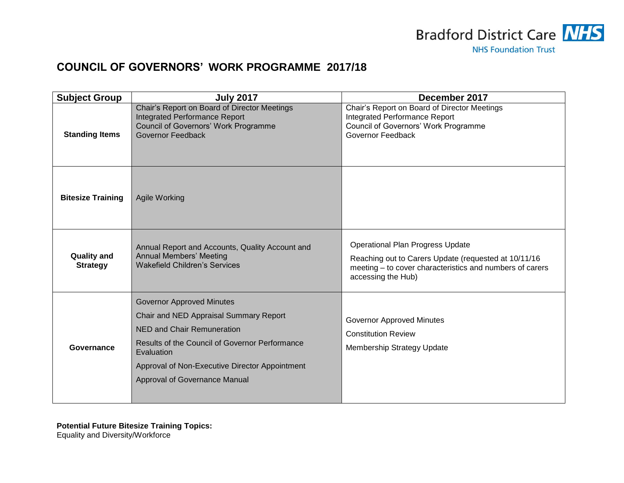

## **COUNCIL OF GOVERNORS' WORK PROGRAMME 2017/18**

| <b>Subject Group</b>                  | <b>July 2017</b>                                                                                                                                                                                                                                                   | December 2017                                                                                                                                                                     |
|---------------------------------------|--------------------------------------------------------------------------------------------------------------------------------------------------------------------------------------------------------------------------------------------------------------------|-----------------------------------------------------------------------------------------------------------------------------------------------------------------------------------|
| <b>Standing Items</b>                 | Chair's Report on Board of Director Meetings<br><b>Integrated Performance Report</b><br><b>Council of Governors' Work Programme</b><br><b>Governor Feedback</b>                                                                                                    | Chair's Report on Board of Director Meetings<br><b>Integrated Performance Report</b><br>Council of Governors' Work Programme<br>Governor Feedback                                 |
| <b>Bitesize Training</b>              | Agile Working                                                                                                                                                                                                                                                      |                                                                                                                                                                                   |
| <b>Quality and</b><br><b>Strategy</b> | Annual Report and Accounts, Quality Account and<br><b>Annual Members' Meeting</b><br><b>Wakefield Children's Services</b>                                                                                                                                          | <b>Operational Plan Progress Update</b><br>Reaching out to Carers Update (requested at 10/11/16<br>meeting - to cover characteristics and numbers of carers<br>accessing the Hub) |
| Governance                            | <b>Governor Approved Minutes</b><br>Chair and NED Appraisal Summary Report<br><b>NED and Chair Remuneration</b><br>Results of the Council of Governor Performance<br>Evaluation<br>Approval of Non-Executive Director Appointment<br>Approval of Governance Manual | <b>Governor Approved Minutes</b><br><b>Constitution Review</b><br><b>Membership Strategy Update</b>                                                                               |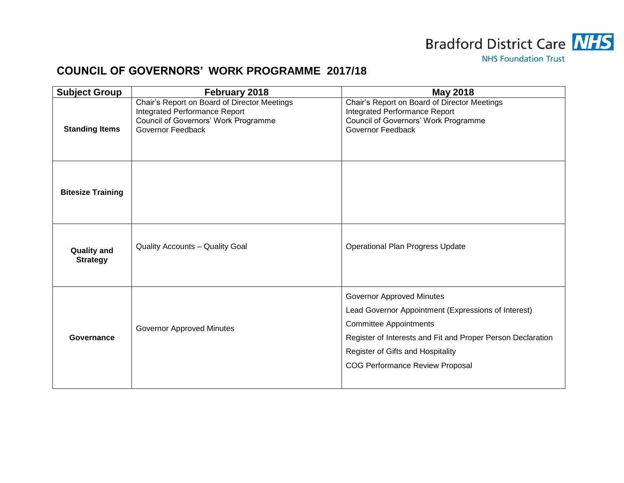

## **NHS Foundation Trust**

# **COUNCIL OF GOVERNORS' WORK PROGRAMME 2017/18**

| <b>Subject Group</b>                  | February 2018                                                                                                                              | <b>May 2018</b>                                                                                                                                                                                                                                                        |
|---------------------------------------|--------------------------------------------------------------------------------------------------------------------------------------------|------------------------------------------------------------------------------------------------------------------------------------------------------------------------------------------------------------------------------------------------------------------------|
| <b>Standing Items</b>                 | Chair's Report on Board of Director Meetings<br>Integrated Performance Report<br>Council of Governors' Work Programme<br>Governor Feedback | Chair's Report on Board of Director Meetings<br><b>Integrated Performance Report</b><br>Council of Governors' Work Programme<br>Governor Feedback                                                                                                                      |
| <b>Bitesize Training</b>              |                                                                                                                                            |                                                                                                                                                                                                                                                                        |
| <b>Quality and</b><br><b>Strategy</b> | <b>Quality Accounts - Quality Goal</b>                                                                                                     | <b>Operational Plan Progress Update</b>                                                                                                                                                                                                                                |
| Governance                            | <b>Governor Approved Minutes</b>                                                                                                           | <b>Governor Approved Minutes</b><br>Lead Governor Appointment (Expressions of Interest)<br><b>Committee Appointments</b><br>Register of Interests and Fit and Proper Person Declaration<br>Register of Gifts and Hospitality<br><b>COG Performance Review Proposal</b> |